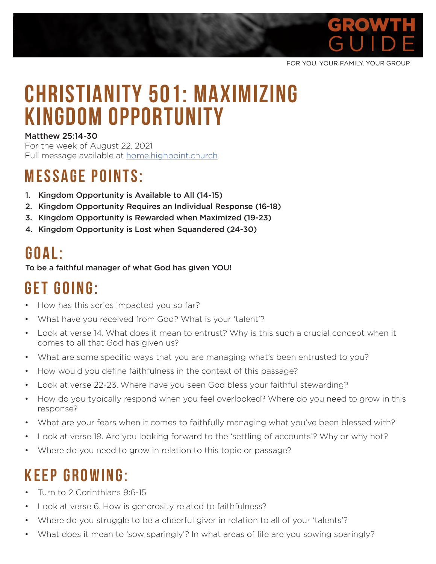

FOR YOU. YOUR FAMILY. YOUR GROUP.

# **Christianity 501: Maximizing Kingdom Opportunity**

#### Matthew 25:14-30

For the week of August 22, 2021 Full message available at home.highpoint.church

### **MESSAGE POINTS:**

- 1. Kingdom Opportunity is Available to All (14-15)
- 2. Kingdom Opportunity Requires an Individual Response (16-18)
- 3. Kingdom Opportunity is Rewarded when Maximized (19-23)
- 4. Kingdom Opportunity is Lost when Squandered (24-30)

#### **G o a l :**

To be a faithful manager of what God has given YOU!

# **GET GOING:**

- How has this series impacted you so far?
- What have you received from God? What is your 'talent'?
- Look at verse 14. What does it mean to entrust? Why is this such a crucial concept when it comes to all that God has given us?
- What are some specific ways that you are managing what's been entrusted to you?
- How would you define faithfulness in the context of this passage?
- Look at verse 22-23. Where have you seen God bless your faithful stewarding?
- How do you typically respond when you feel overlooked? Where do you need to grow in this response?
- What are your fears when it comes to faithfully managing what you've been blessed with?
- Look at verse 19. Are you looking forward to the 'settling of accounts'? Why or why not?
- Where do you need to grow in relation to this topic or passage?

### **KEEP GROWING:**

- Turn to 2 Corinthians 9:6-15
- Look at verse 6. How is generosity related to faithfulness?
- Where do you struggle to be a cheerful giver in relation to all of your 'talents'?
- What does it mean to 'sow sparingly'? In what areas of life are you sowing sparingly?